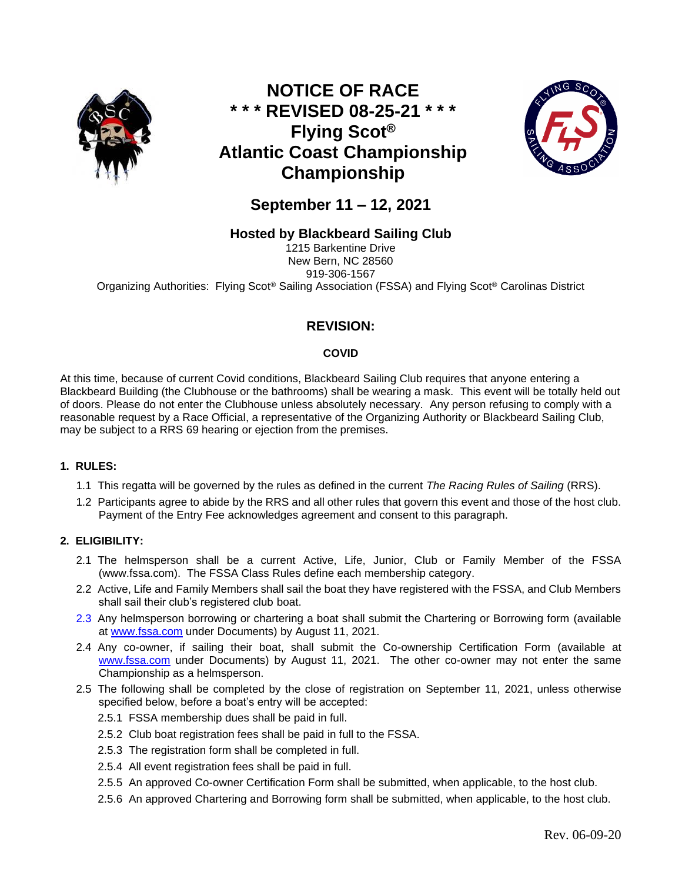

# **NOTICE OF RACE \* \* \* REVISED 08-25-21 \* \* \* Flying Scot® Atlantic Coast Championship Championship**



**September 11 – 12, 2021**

## **Hosted by Blackbeard Sailing Club**

1215 Barkentine Drive New Bern, NC 28560 919-306-1567 Organizing Authorities: Flying Scot® Sailing Association (FSSA) and Flying Scot® Carolinas District

## **REVISION:**

### **COVID**

At this time, because of current Covid conditions, Blackbeard Sailing Club requires that anyone entering a Blackbeard Building (the Clubhouse or the bathrooms) shall be wearing a mask. This event will be totally held out of doors. Please do not enter the Clubhouse unless absolutely necessary. Any person refusing to comply with a reasonable request by a Race Official, a representative of the Organizing Authority or Blackbeard Sailing Club, may be subject to a RRS 69 hearing or ejection from the premises.

### **1. RULES:**

- 1.1 This regatta will be governed by the rules as defined in the current *The Racing Rules of Sailing* (RRS).
- 1.2 Participants agree to abide by the RRS and all other rules that govern this event and those of the host club. Payment of the Entry Fee acknowledges agreement and consent to this paragraph.

### **2. ELIGIBILITY:**

- 2.1 The helmsperson shall be a current Active, Life, Junior, Club or Family Member of the FSSA (www.fssa.com). The FSSA Class Rules define each membership category.
- 2.2 Active, Life and Family Members shall sail the boat they have registered with the FSSA, and Club Members shall sail their club's registered club boat.
- 2.3 Any helmsperson borrowing or chartering a boat shall submit the Chartering or Borrowing form (available at [www.fssa.com](http://www.fssa.com/) under Documents) by August 11, 2021.
- 2.4 Any co-owner, if sailing their boat, shall submit the Co-ownership Certification Form (available at [www.fssa.com](http://www.fssa.com/) under Documents) by August 11, 2021. The other co-owner may not enter the same Championship as a helmsperson.
- 2.5 The following shall be completed by the close of registration on September 11, 2021, unless otherwise specified below, before a boat's entry will be accepted:
	- 2.5.1 FSSA membership dues shall be paid in full.
	- 2.5.2 Club boat registration fees shall be paid in full to the FSSA.
	- 2.5.3 The registration form shall be completed in full.
	- 2.5.4 All event registration fees shall be paid in full.
	- 2.5.5 An approved Co-owner Certification Form shall be submitted, when applicable, to the host club.
	- 2.5.6 An approved Chartering and Borrowing form shall be submitted, when applicable, to the host club.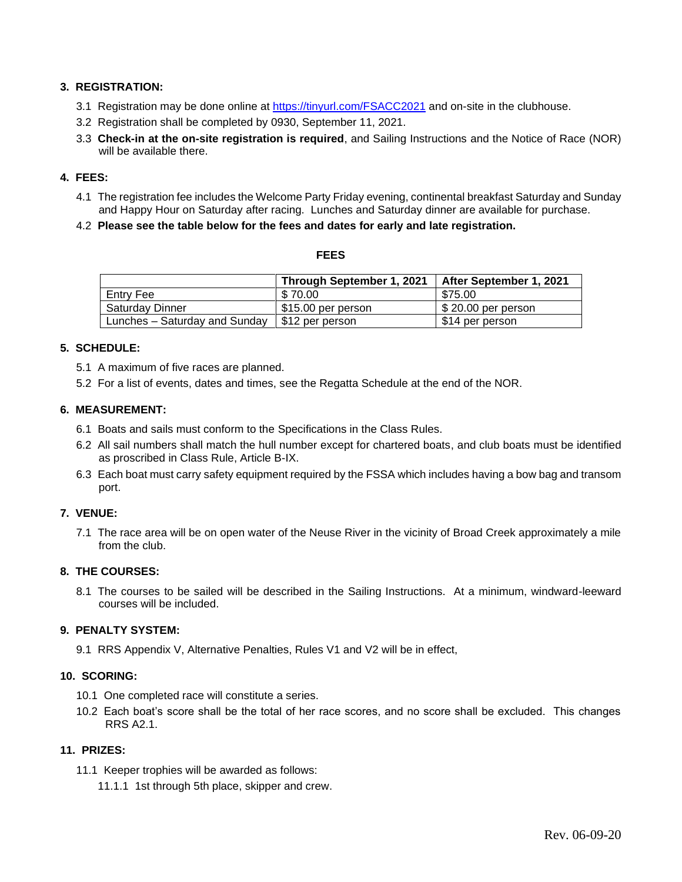#### **3. REGISTRATION:**

- 3.1 Registration may be done online at<https://tinyurl.com/FSACC2021> and on-site in the clubhouse.
- 3.2 Registration shall be completed by 0930, September 11, 2021.
- 3.3 **Check-in at the on-site registration is required**, and Sailing Instructions and the Notice of Race (NOR) will be available there.

#### **4. FEES:**

- 4.1 The registration fee includes the Welcome Party Friday evening, continental breakfast Saturday and Sunday and Happy Hour on Saturday after racing. Lunches and Saturday dinner are available for purchase.
- 4.2 **Please see the table below for the fees and dates for early and late registration.**

#### **FEES**

|                               | Through September 1, 2021 | After September 1, 2021 |
|-------------------------------|---------------------------|-------------------------|
| Entry Fee                     | \$70.00                   | \$75.00                 |
| Saturday Dinner               | \$15.00 per person        | $$20.00$ per person     |
| Lunches - Saturday and Sunday | \$12 per person           | \$14 per person         |

#### **5. SCHEDULE:**

- 5.1 A maximum of five races are planned.
- 5.2 For a list of events, dates and times, see the Regatta Schedule at the end of the NOR.

#### **6. MEASUREMENT:**

- 6.1 Boats and sails must conform to the Specifications in the Class Rules.
- 6.2 All sail numbers shall match the hull number except for chartered boats, and club boats must be identified as proscribed in Class Rule, Article B-IX.
- 6.3 Each boat must carry safety equipment required by the FSSA which includes having a bow bag and transom port.

#### **7. VENUE:**

7.1 The race area will be on open water of the Neuse River in the vicinity of Broad Creek approximately a mile from the club.

#### **8. THE COURSES:**

8.1 The courses to be sailed will be described in the Sailing Instructions. At a minimum, windward-leeward courses will be included.

#### **9. PENALTY SYSTEM:**

9.1 RRS Appendix V, Alternative Penalties, Rules V1 and V2 will be in effect,

#### **10. SCORING:**

- 10.1 One completed race will constitute a series.
- 10.2 Each boat's score shall be the total of her race scores, and no score shall be excluded. This changes RRS A2.1.

#### **11. PRIZES:**

- 11.1 Keeper trophies will be awarded as follows:
	- 11.1.1 1st through 5th place, skipper and crew.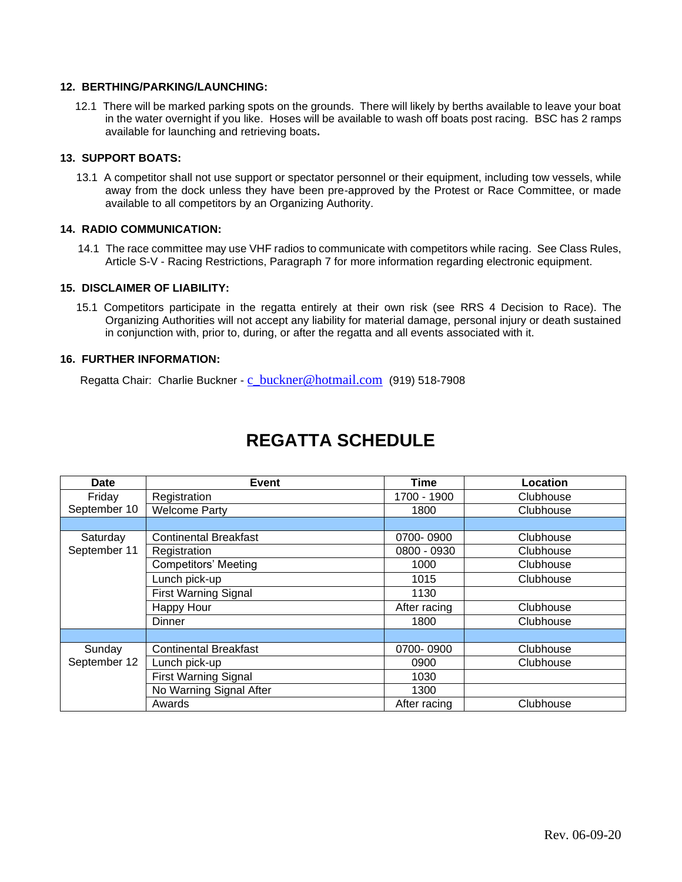#### **12. BERTHING/PARKING/LAUNCHING:**

12.1 There will be marked parking spots on the grounds. There will likely by berths available to leave your boat in the water overnight if you like. Hoses will be available to wash off boats post racing. BSC has 2 ramps available for launching and retrieving boats**.** 

#### **13. SUPPORT BOATS:**

13.1 A competitor shall not use support or spectator personnel or their equipment, including tow vessels, while away from the dock unless they have been pre-approved by the Protest or Race Committee, or made available to all competitors by an Organizing Authority.

#### **14. RADIO COMMUNICATION:**

14.1 The race committee may use VHF radios to communicate with competitors while racing. See Class Rules, Article S-V - Racing Restrictions, Paragraph 7 for more information regarding electronic equipment.

#### **15. DISCLAIMER OF LIABILITY:**

15.1 Competitors participate in the regatta entirely at their own risk (see RRS 4 Decision to Race). The Organizing Authorities will not accept any liability for material damage, personal injury or death sustained in conjunction with, prior to, during, or after the regatta and all events associated with it.

#### **16. FURTHER INFORMATION:**

Regatta Chair: Charlie Buckner - [c\\_buckner@hotmail.com](mailto:c_buckner@hotmail.com) (919) 518-7908

| <b>Date</b>            | <b>Event</b>                 | Time         | Location  |
|------------------------|------------------------------|--------------|-----------|
| Friday                 | Registration                 | 1700 - 1900  | Clubhouse |
| September 10           | <b>Welcome Party</b>         | 1800         | Clubhouse |
|                        |                              |              |           |
| Saturday               | <b>Continental Breakfast</b> | 0700-0900    | Clubhouse |
| September 11           | Registration                 | 0800 - 0930  | Clubhouse |
|                        | <b>Competitors' Meeting</b>  | 1000         | Clubhouse |
|                        | Lunch pick-up                | 1015         | Clubhouse |
|                        | <b>First Warning Signal</b>  | 1130         |           |
|                        | Happy Hour                   | After racing | Clubhouse |
|                        | <b>Dinner</b>                | 1800         | Clubhouse |
|                        |                              |              |           |
| Sunday<br>September 12 | <b>Continental Breakfast</b> | 0700-0900    | Clubhouse |
|                        | Lunch pick-up                | 0900         | Clubhouse |
|                        | <b>First Warning Signal</b>  | 1030         |           |
|                        | No Warning Signal After      | 1300         |           |
|                        | Awards                       | After racing | Clubhouse |

# **REGATTA SCHEDULE**